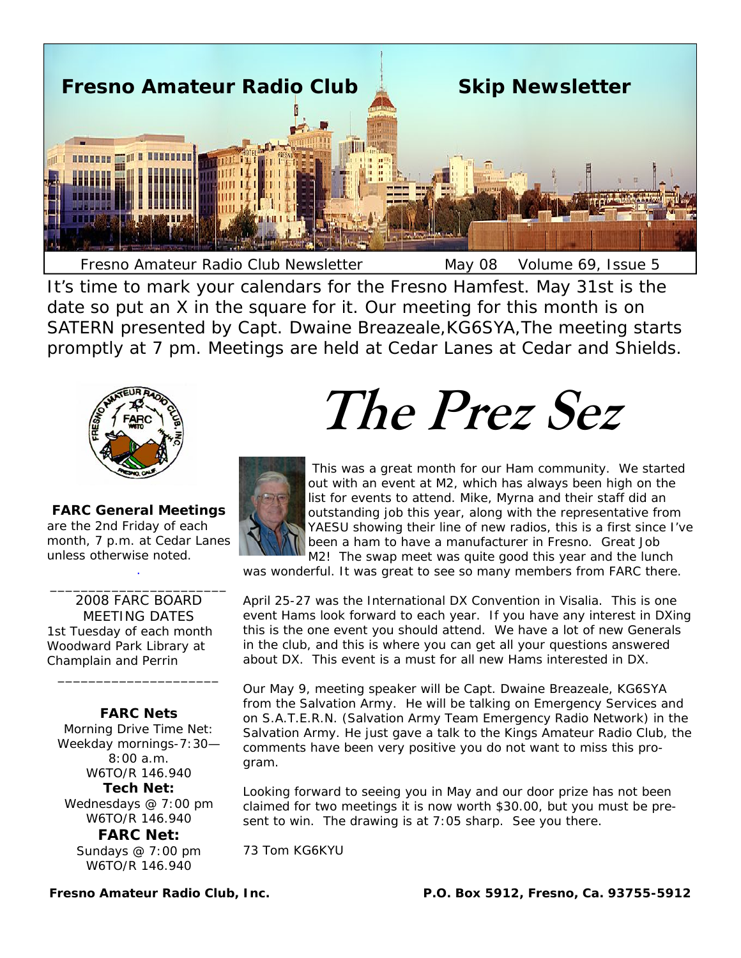

It's time to mark your calendars for the Fresno Hamfest. May 31st is the date so put an X in the square for it. Our meeting for this month is on SATERN presented by Capt. Dwaine Breazeale,KG6SYA,The meeting starts promptly at 7 pm. Meetings are held at Cedar Lanes at Cedar and Shields.



**FARC General Meetings**  are the 2nd Friday of each month, 7 p.m. at Cedar Lanes unless otherwise noted. .

\_\_\_\_\_\_\_\_\_\_\_\_\_\_\_\_\_\_\_\_\_\_\_

2008 FARC BOARD MEETING DATES 1st Tuesday of each month Woodward Park Library at Champlain and Perrin

**FARC Nets**  Morning Drive Time Net: Weekday mornings-7:30— 8:00 a.m. W6TO/R 146.940

\_\_\_\_\_\_\_\_\_\_\_\_\_\_\_\_\_\_\_\_\_

**Tech Net:** Wednesdays @ 7:00 pm W6TO/R 146.940

**FARC Net:** Sundays @ 7:00 pm W6TO/R 146.940

**The Prez Sez** 



This was a great month for our Ham community. We started out with an event at M2, which has always been high on the list for events to attend. Mike, Myrna and their staff did an outstanding job this year, along with the representative from YAESU showing their line of new radios, this is a first since I've been a ham to have a manufacturer in Fresno. Great Job M2! The swap meet was quite good this year and the lunch

was wonderful. It was great to see so many members from FARC there.

April 25-27 was the International DX Convention in Visalia. This is one event Hams look forward to each year. If you have any interest in DXing this is the one event you should attend. We have a lot of new Generals in the club, and this is where you can get all your questions answered about DX. This event is a must for all new Hams interested in DX.

Our May 9, meeting speaker will be Capt. Dwaine Breazeale, KG6SYA from the Salvation Army. He will be talking on Emergency Services and on S.A.T.E.R.N. (Salvation Army Team Emergency Radio Network) in the Salvation Army. He just gave a talk to the Kings Amateur Radio Club, the comments have been very positive you do not want to miss this program.

Looking forward to seeing you in May and our door prize has not been claimed for two meetings it is now worth \$30.00, but you must be present to win. The drawing is at 7:05 sharp. See you there.

73 Tom KG6KYU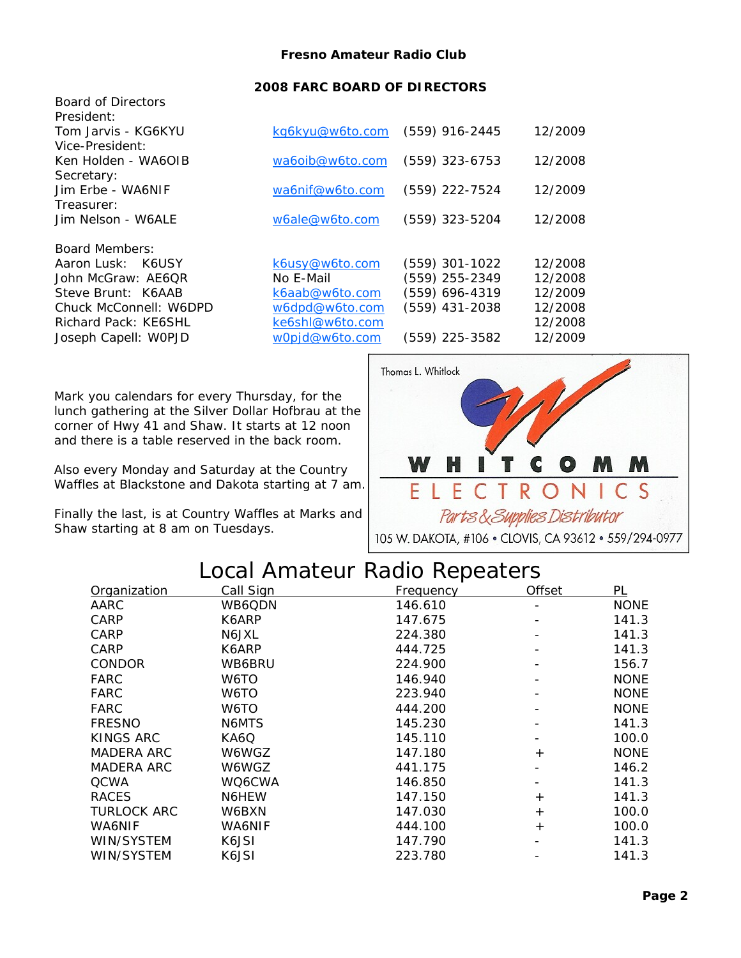### **2008 FARC BOARD OF DIRECTORS**

| <b>Board of Directors</b><br>President: |                 |                  |         |
|-----------------------------------------|-----------------|------------------|---------|
| Tom Jarvis - KG6KYU                     | kg6kyu@w6to.com | $(559)$ 916-2445 | 12/2009 |
| Vice-President:                         |                 |                  |         |
| Ken Holden - WA6OIB                     | wa6oib@w6to.com | $(559)$ 323-6753 | 12/2008 |
| Secretary:                              |                 |                  |         |
| Jim Erbe - WA6NIF                       | wa6nif@w6to.com | (559) 222-7524   | 12/2009 |
| Treasurer:                              |                 |                  |         |
| Jim Nelson - W6ALE                      | w6ale@w6to.com  | (559) 323-5204   | 12/2008 |
|                                         |                 |                  |         |
| <b>Board Members:</b>                   |                 |                  |         |
| Aaron Lusk: K6USY                       | k6usy@w6to.com  | $(559)$ 301-1022 | 12/2008 |
| John McGraw: AE6OR                      | No E-Mail       | (559) 255-2349   | 12/2008 |
| Steve Brunt: K6AAB                      | k6aab@w6to.com  | (559) 696-4319   | 12/2009 |
| Chuck McConnell: W6DPD                  | w6dpd@w6to.com  | $(559)$ 431-2038 | 12/2008 |
| Richard Pack: KE6SHL                    | ke6shl@w6to.com |                  | 12/2008 |
| Joseph Capell: WOPJD                    | w0pjd@w6to.com  | (559) 225-3582   | 12/2009 |

Mark you calendars for every Thursday, for the lunch gathering at the *Silver Dollar Hofbrau* at the corner of Hwy 41 and Shaw. It starts at 12 noon and there is a table reserved in the back room.

Also every Monday and Saturday at the *Country Waffles* at Blackstone and Dakota starting at 7 am.

Finally the last, is at *Country Waffles* at Marks and Shaw starting at 8 am on Tuesdays.



# Local Amateur Radio Repeaters

| Organization       | <u>Call Sign</u> | <u>Frequency</u> | <b>Offset</b> | PL          |
|--------------------|------------------|------------------|---------------|-------------|
| AARC               | WB6QDN           | 146.610          |               | <b>NONE</b> |
| <b>CARP</b>        | K6ARP            | 147.675          |               | 141.3       |
| <b>CARP</b>        | N6JXL            | 224.380          |               | 141.3       |
| CARP               | K6ARP            | 444.725          |               | 141.3       |
| <b>CONDOR</b>      | WB6BRU           | 224.900          |               | 156.7       |
| FARC               | W6TO             | 146.940          |               | <b>NONE</b> |
| <b>FARC</b>        | W6TO             | 223.940          |               | <b>NONE</b> |
| <b>FARC</b>        | W6TO             | 444.200          |               | <b>NONE</b> |
| <b>FRESNO</b>      | N6MTS            | 145.230          |               | 141.3       |
| <b>KINGS ARC</b>   | KA6Q             | 145.110          |               | 100.0       |
| <b>MADERA ARC</b>  | W6WGZ            | 147.180          | $+$           | <b>NONE</b> |
| <b>MADERA ARC</b>  | W6WGZ            | 441.175          |               | 146.2       |
| <b>QCWA</b>        | WQ6CWA           | 146.850          |               | 141.3       |
| <b>RACES</b>       | N6HEW            | 147.150          | $+$           | 141.3       |
| <b>TURLOCK ARC</b> | W6BXN            | 147.030          | $+$           | 100.0       |
| WA6NIF             | WA6NIF           | 444.100          | $+$           | 100.0       |
| WIN/SYSTEM         | K6JSI            | 147.790          |               | 141.3       |
| WIN/SYSTEM         | K6JSI            | 223.780          |               | 141.3       |
|                    |                  |                  |               |             |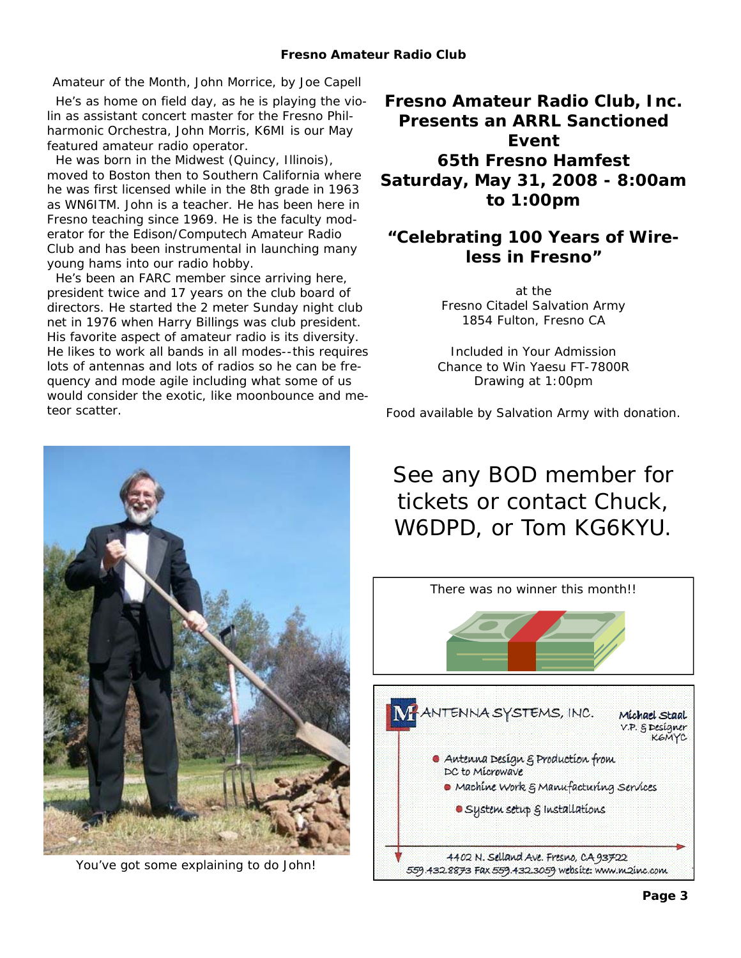### *Amateur of the Month, John Morrice, by Joe Capell*

 He's as home on field day, as he is playing the violin as assistant concert master for the Fresno Philharmonic Orchestra, John Morris, K6MI is our May featured amateur radio operator.

 He was born in the Midwest (Quincy, Illinois), moved to Boston then to Southern California where he was first licensed while in the 8th grade in 1963 as WN6ITM. John is a teacher. He has been here in Fresno teaching since 1969. He is the faculty moderator for the Edison/Computech Amateur Radio Club and has been instrumental in launching many young hams into our radio hobby.

 He's been an FARC member since arriving here, president twice and 17 years on the club board of directors. He started the 2 meter Sunday night club net in 1976 when Harry Billings was club president. His favorite aspect of amateur radio is its diversity. He likes to work all bands in all modes--this requires lots of antennas and lots of radios so he can be frequency and mode agile including what some of us would consider the exotic, like moonbounce and meteor scatter.

**Fresno Amateur Radio Club, Inc. Presents an ARRL Sanctioned Event 65th Fresno Hamfest Saturday, May 31, 2008 - 8:00am to 1:00pm** 

# **"Celebrating 100 Years of Wireless in Fresno"**

at the Fresno Citadel Salvation Army 1854 Fulton, Fresno CA

Included in Your Admission Chance to Win Yaesu FT-7800R Drawing at 1:00pm

Food available by Salvation Army with donation.

# See any BOD member for tickets or contact Chuck, W6DPD, or Tom KG6KYU.





You've got some explaining to do John!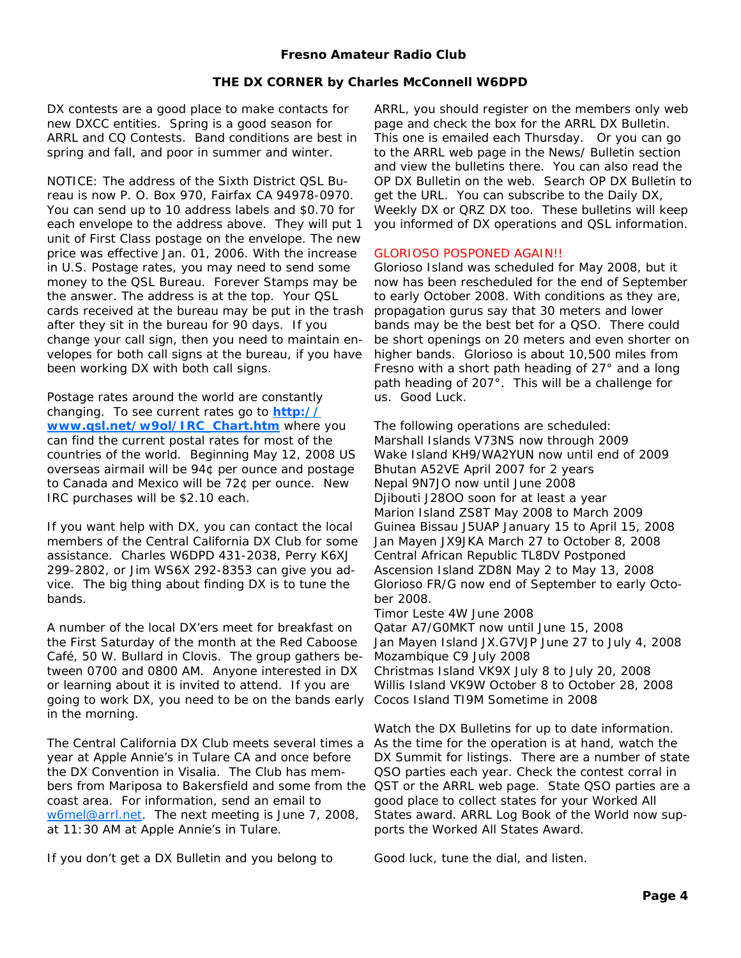#### *THE DX CORNER by Charles McConnell W6DPD*

DX contests are a good place to make contacts for new DXCC entities. Spring is a good season for ARRL and CQ Contests. Band conditions are best in spring and fall, and poor in summer and winter.

NOTICE: The address of the Sixth District QSL Bureau is now P. O. Box 970, Fairfax CA 94978-0970. You can send up to 10 address labels and \$0.70 for each envelope to the address above. They will put 1 unit of First Class postage on the envelope. The new price was effective Jan. 01, 2006. With the increase in U.S. Postage rates, you may need to send some money to the QSL Bureau. Forever Stamps may be the answer. The address is at the top. Your QSL cards received at the bureau may be put in the trash after they sit in the bureau for 90 days. If you change your call sign, then you need to maintain envelopes for both call signs at the bureau, if you have been working DX with both call signs.

Postage rates around the world are constantly changing. To see current rates go to **http:// www.qsl.net/w9ol/IRC\_Chart.htm** where you can find the current postal rates for most of the countries of the world. Beginning May 12, 2008 US overseas airmail will be 94¢ per ounce and postage to Canada and Mexico will be 72¢ per ounce. New IRC purchases will be \$2.10 each.

If you want help with DX, you can contact the local members of the Central California DX Club for some assistance. Charles W6DPD 431-2038, Perry K6XJ 299-2802, or Jim WS6X 292-8353 can give you advice. The big thing about finding DX is to tune the bands.

A number of the local DX'ers meet for breakfast on the First Saturday of the month at the Red Caboose Café, 50 W. Bullard in Clovis. The group gathers between 0700 and 0800 AM. Anyone interested in DX or learning about it is invited to attend. If you are going to work DX, you need to be on the bands early in the morning.

The Central California DX Club meets several times a year at Apple Annie's in Tulare CA and once before the DX Convention in Visalia. The Club has memcoast area. For information, send an email to w6mel@arrl.net. The next meeting is June 7, 2008, at 11:30 AM at Apple Annie's in Tulare.

If you don't get a DX Bulletin and you belong to

ARRL, you should register on the members only web page and check the box for the ARRL DX Bulletin. This one is emailed each Thursday. Or you can go to the ARRL web page in the News/ Bulletin section and view the bulletins there. You can also read the OP DX Bulletin on the web. Search OP DX Bulletin to get the URL. You can subscribe to the Daily DX, Weekly DX or QRZ DX too. These bulletins will keep you informed of DX operations and QSL information.

#### GLORIOSO POSPONED AGAIN!!

Glorioso Island was scheduled for May 2008, but it now has been rescheduled for the end of September to early October 2008. With conditions as they are, propagation gurus say that 30 meters and lower bands may be the best bet for a QSO. There could be short openings on 20 meters and even shorter on higher bands. Glorioso is about 10,500 miles from Fresno with a short path heading of 27° and a long path heading of 207°. This will be a challenge for us. Good Luck.

The following operations are scheduled: Marshall Islands V73NS now through 2009 Wake Island KH9/WA2YUN now until end of 2009 Bhutan A52VE April 2007 for 2 years Nepal 9N7JO now until June 2008 Djibouti J28OO soon for at least a year Marion Island ZS8T May 2008 to March 2009 Guinea Bissau J5UAP January 15 to April 15, 2008 Jan Mayen JX9JKA March 27 to October 8, 2008 Central African Republic TL8DV Postponed Ascension Island ZD8N May 2 to May 13, 2008 Glorioso FR/G now end of September to early October 2008.

Timor Leste 4W June 2008

Qatar A7/G0MKT now until June 15, 2008 Jan Mayen Island JX.G7VJP June 27 to July 4, 2008 Mozambique C9 July 2008 Christmas Island VK9X July 8 to July 20, 2008

Willis Island VK9W October 8 to October 28, 2008 Cocos Island TI9M Sometime in 2008

bers from Mariposa to Bakersfield and some from the QST or the ARRL web page. State QSO parties are a Watch the DX Bulletins for up to date information. As the time for the operation is at hand, watch the DX Summit for listings. There are a number of state QSO parties each year. Check the contest corral in good place to collect states for your Worked All States award. ARRL Log Book of the World now supports the Worked All States Award.

Good luck, tune the dial, and listen.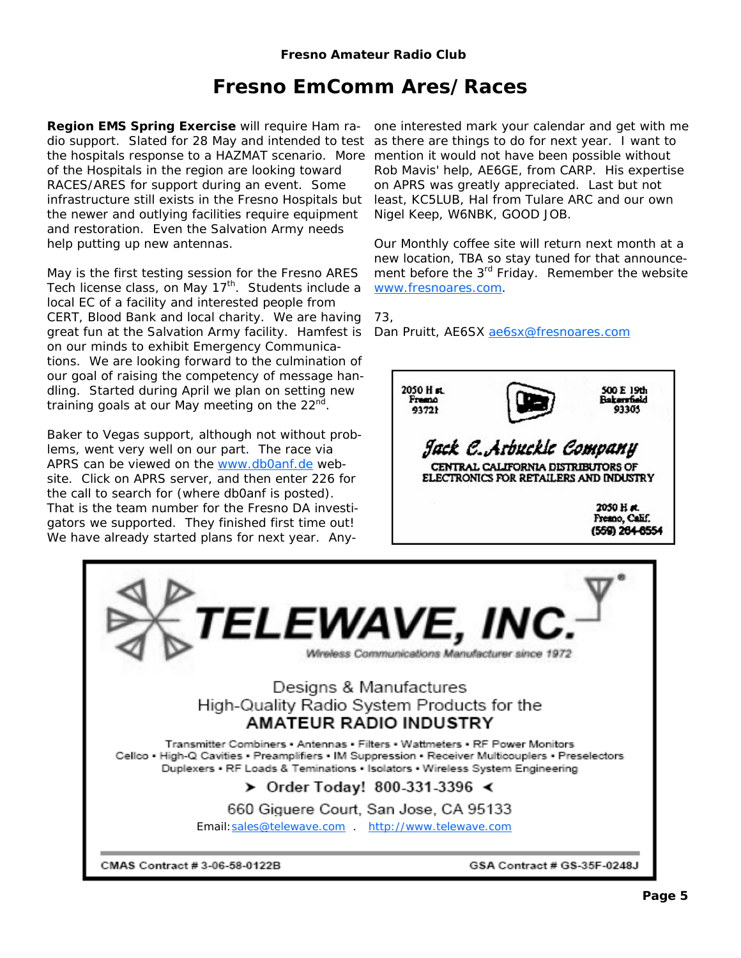# **Fresno EmComm Ares/Races**

**Region EMS Spring Exercise** will require Ham radio support. Slated for 28 May and intended to test the hospitals response to a HAZMAT scenario. More of the Hospitals in the region are looking toward RACES/ARES for support during an event. Some infrastructure still exists in the Fresno Hospitals but the newer and outlying facilities require equipment and restoration. Even the Salvation Army needs help putting up new antennas.

May is the first testing session for the Fresno ARES Tech license class, on May  $17<sup>th</sup>$ . Students include a local EC of a facility and interested people from CERT, Blood Bank and local charity. We are having great fun at the Salvation Army facility. Hamfest is on our minds to exhibit Emergency Communications. We are looking forward to the culmination of our goal of raising the competency of message handling. Started during April we plan on setting new training goals at our May meeting on the  $22<sup>nd</sup>$ .

Baker to Vegas support, although not without problems, went very well on our part. The race via APRS can be viewed on the www.db0anf.de website. Click on APRS server, and then enter 226 for the call to search for (where db0anf is posted). That is the team number for the Fresno DA investigators we supported. They finished first time out! We have already started plans for next year. Any-

one interested mark your calendar and get with me as there are things to do for next year. I want to mention it would not have been possible without Rob Mavis' help, AE6GE, from CARP. His expertise on APRS was greatly appreciated. Last but not least, KC5LUB, Hal from Tulare ARC and our own Nigel Keep, W6NBK, GOOD JOB.

Our Monthly coffee site will return next month at a new location, TBA so stay tuned for that announcement before the 3<sup>rd</sup> Friday. Remember the website www.fresnoares.com.

73,

Dan Pruitt, AE6SX ae6sx@fresnoares.com



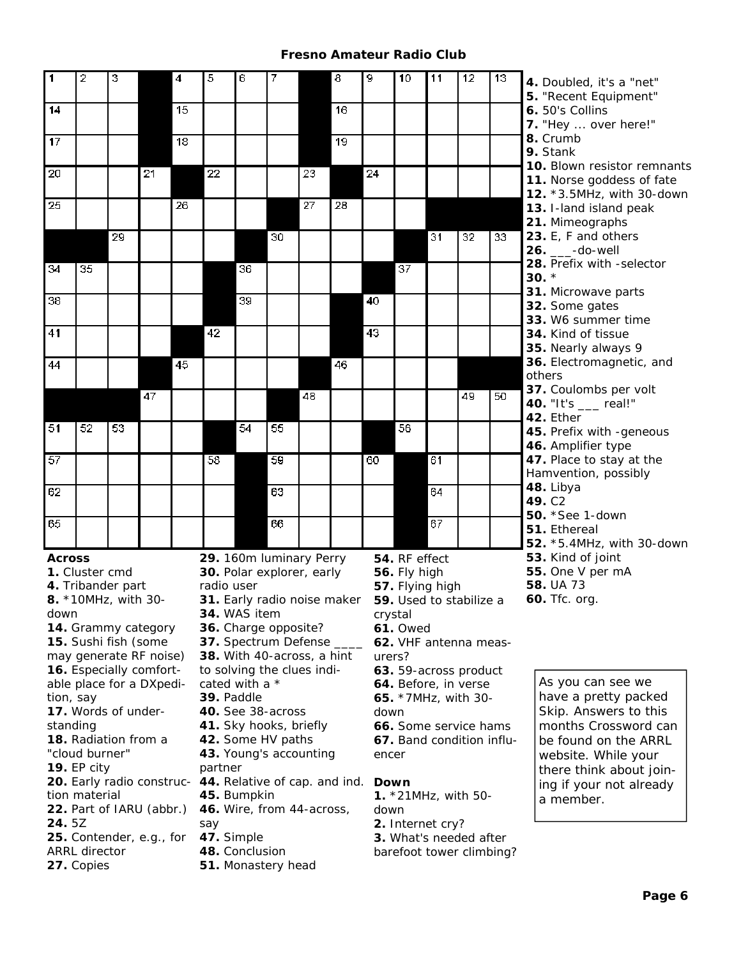| 1                                                                                                                   | 2                                                                              | 3                   |    | $\overline{4}$  | 5                                                   | 6                                                  | 7                        |    | $\overline{\mathbf{a}}$ | g  | 10                      | 11                                            | 12              | 13 | 4. Doubled, it's a "net"<br>5. "Recent Equipment" |
|---------------------------------------------------------------------------------------------------------------------|--------------------------------------------------------------------------------|---------------------|----|-----------------|-----------------------------------------------------|----------------------------------------------------|--------------------------|----|-------------------------|----|-------------------------|-----------------------------------------------|-----------------|----|---------------------------------------------------|
| 14                                                                                                                  |                                                                                |                     |    | $\overline{15}$ |                                                     |                                                    |                          |    | $\overline{16}$         |    |                         |                                               |                 |    | 6. 50's Collins<br>7. "Hey  over here!"           |
| $\overline{17}$                                                                                                     |                                                                                |                     |    | $\overline{18}$ |                                                     |                                                    |                          |    | $\overline{19}$         |    |                         |                                               |                 |    | 8. Crumb                                          |
|                                                                                                                     |                                                                                |                     |    |                 |                                                     |                                                    |                          |    |                         |    |                         |                                               |                 |    | 9. Stank<br>10. Blown resistor remnants           |
| 20                                                                                                                  |                                                                                |                     | 21 |                 | 22                                                  |                                                    |                          | 23 |                         | 24 |                         |                                               |                 |    | 11. Norse goddess of fate                         |
| 25                                                                                                                  |                                                                                |                     |    | 26              |                                                     |                                                    |                          | 27 | 28                      |    |                         |                                               |                 |    | 12. *3.5MHz, with 30-down                         |
|                                                                                                                     |                                                                                |                     |    |                 |                                                     |                                                    |                          |    |                         |    |                         |                                               |                 |    | 13. I-land island peak<br>21. Mimeographs         |
|                                                                                                                     |                                                                                | 29                  |    |                 |                                                     |                                                    | 30                       |    |                         |    |                         | $\overline{31}$                               | $\overline{32}$ | 33 | 23. E, F and others                               |
|                                                                                                                     |                                                                                |                     |    |                 |                                                     |                                                    |                          |    |                         |    |                         |                                               |                 |    | 26. ___-do-well                                   |
| $\overline{34}$                                                                                                     | 35                                                                             |                     |    |                 |                                                     | $\overline{36}$                                    |                          |    |                         |    | $\overline{37}$         |                                               |                 |    | 28. Prefix with -selector                         |
|                                                                                                                     |                                                                                |                     |    |                 |                                                     |                                                    |                          |    |                         |    |                         |                                               |                 |    | $30.$ *                                           |
| $\overline{38}$                                                                                                     |                                                                                |                     |    |                 |                                                     | 39                                                 |                          |    |                         | 40 |                         |                                               |                 |    | 31. Microwave parts<br>32. Some gates             |
|                                                                                                                     |                                                                                |                     |    |                 |                                                     |                                                    |                          |    |                         |    |                         |                                               |                 |    | 33. W6 summer time                                |
| 41                                                                                                                  |                                                                                |                     |    |                 | 42                                                  |                                                    |                          |    |                         | 43 |                         |                                               |                 |    | 34. Kind of tissue                                |
|                                                                                                                     |                                                                                |                     |    |                 |                                                     |                                                    |                          |    |                         |    |                         |                                               |                 |    | 35. Nearly always 9                               |
| 44                                                                                                                  |                                                                                |                     |    | 45              |                                                     |                                                    |                          |    | 46                      |    |                         |                                               |                 |    | 36. Electromagnetic, and                          |
|                                                                                                                     |                                                                                |                     |    |                 |                                                     |                                                    |                          |    |                         |    |                         |                                               |                 |    | others<br>37. Coulombs per volt                   |
|                                                                                                                     |                                                                                |                     | 47 |                 |                                                     |                                                    |                          | 48 |                         |    |                         |                                               | 49              | 50 | 40. "It's ___ real!"                              |
|                                                                                                                     |                                                                                |                     |    |                 |                                                     |                                                    |                          |    |                         |    |                         |                                               |                 |    | 42. Ether                                         |
| $\overline{51}$                                                                                                     | 52                                                                             | $\overline{53}$     |    |                 |                                                     | 54                                                 | 55                       |    |                         |    | 56                      |                                               |                 |    | 45. Prefix with -geneous                          |
|                                                                                                                     |                                                                                |                     |    |                 |                                                     |                                                    |                          |    |                         |    |                         |                                               |                 |    | 46. Amplifier type                                |
| 57                                                                                                                  |                                                                                |                     |    |                 | 58                                                  |                                                    | 59                       |    |                         | 60 |                         | 61                                            |                 |    | 47. Place to stay at the<br>Hamvention, possibly  |
| 62                                                                                                                  |                                                                                |                     |    |                 |                                                     |                                                    | 63                       |    |                         |    |                         | 64                                            |                 |    | 48. Libya                                         |
|                                                                                                                     |                                                                                |                     |    |                 |                                                     |                                                    |                          |    |                         |    |                         |                                               |                 |    | 49. C <sub>2</sub>                                |
| 65                                                                                                                  |                                                                                |                     |    |                 |                                                     |                                                    | 66                       |    |                         |    |                         | 67                                            |                 |    | 50. * See 1-down                                  |
|                                                                                                                     |                                                                                |                     |    |                 |                                                     |                                                    |                          |    |                         |    |                         |                                               |                 |    | 51. Ethereal<br>52. *5.4MHz, with 30-down         |
| <b>Across</b>                                                                                                       |                                                                                |                     |    |                 | 29. 160m luminary Perry                             |                                                    |                          |    |                         |    | 54. RF effect           |                                               |                 |    | 53. Kind of joint                                 |
|                                                                                                                     | 1. Cluster cmd                                                                 |                     |    |                 | 30. Polar explorer, early                           |                                                    |                          |    |                         |    | 56. Fly high            |                                               |                 |    | 55. One V per mA                                  |
|                                                                                                                     |                                                                                | 4. Tribander part   |    |                 | radio user                                          |                                                    |                          |    |                         |    |                         | 57. Flying high                               |                 |    | 58. UA 73                                         |
|                                                                                                                     |                                                                                | 8. *10MHz, with 30- |    |                 | 31. Early radio noise maker 59. Used to stabilize a |                                                    |                          |    |                         |    |                         |                                               |                 |    | 60. Tfc. org.                                     |
| 34. WAS item crystal<br>down                                                                                        |                                                                                |                     |    |                 |                                                     |                                                    |                          |    |                         |    |                         |                                               |                 |    |                                                   |
| 14. Grammy category<br>36. Charge opposite?<br><b>61. Owed</b><br>37. Spectrum Defense ____<br>15. Sushi fish (some |                                                                                |                     |    |                 |                                                     |                                                    |                          |    |                         |    |                         |                                               |                 |    |                                                   |
| 62. VHF antenna meas-<br>38. With 40-across, a hint<br>may generate RF noise)<br>urers?                             |                                                                                |                     |    |                 |                                                     |                                                    |                          |    |                         |    |                         |                                               |                 |    |                                                   |
|                                                                                                                     | 16. Especially comfort-<br>to solving the clues indi-<br>63. 59-across product |                     |    |                 |                                                     |                                                    |                          |    |                         |    |                         |                                               |                 |    |                                                   |
|                                                                                                                     | able place for a DXpedi-<br>cated with a *<br>64. Before, in verse             |                     |    |                 |                                                     |                                                    |                          |    | As you can see we       |    |                         |                                               |                 |    |                                                   |
| 39. Paddle<br>tion, say                                                                                             |                                                                                |                     |    |                 |                                                     |                                                    |                          |    | 65. *7MHz, with 30-     |    |                         | have a pretty packed                          |                 |    |                                                   |
|                                                                                                                     | 17. Words of under-<br>40. See 38-across<br>41. Sky hooks, briefly<br>standing |                     |    |                 |                                                     |                                                    | down                     |    |                         |    |                         | Skip. Answers to this<br>months Crossword can |                 |    |                                                   |
| 18. Radiation from a<br>42. Some HV paths                                                                           |                                                                                |                     |    |                 |                                                     | 66. Some service hams<br>67. Band condition influ- |                          |    |                         |    | be found on the ARRL    |                                               |                 |    |                                                   |
| "cloud burner"<br>43. Young's accounting                                                                            |                                                                                |                     |    |                 |                                                     | encer                                              |                          |    |                         |    | website. While your     |                                               |                 |    |                                                   |
| partner<br><b>19. EP city</b>                                                                                       |                                                                                |                     |    |                 |                                                     |                                                    |                          |    |                         |    | there think about join- |                                               |                 |    |                                                   |
|                                                                                                                     | 20. Early radio construc- 44. Relative of cap. and ind.                        |                     |    |                 |                                                     |                                                    | Down                     |    |                         |    |                         | ing if your not already                       |                 |    |                                                   |
| tion material<br>45. Bumpkin                                                                                        |                                                                                |                     |    |                 |                                                     | 1. $*21MHz$ , with 50-<br>a member.                |                          |    |                         |    |                         |                                               |                 |    |                                                   |
|                                                                                                                     | 22. Part of IARU (abbr.)<br>46. Wire, from 44-across,<br>24.5Z<br>say          |                     |    |                 |                                                     |                                                    | down<br>2. Internet cry? |    |                         |    |                         |                                               |                 |    |                                                   |
| 47. Simple<br>25. Contender, e.g., for                                                                              |                                                                                |                     |    |                 |                                                     | 3. What's needed after                             |                          |    |                         |    |                         |                                               |                 |    |                                                   |
|                                                                                                                     | ARRL director                                                                  |                     |    |                 | 48. Conclusion                                      |                                                    |                          |    |                         |    |                         | barefoot tower climbing?                      |                 |    |                                                   |
|                                                                                                                     | 27. Copies                                                                     |                     |    |                 | 51. Monastery head                                  |                                                    |                          |    |                         |    |                         |                                               |                 |    |                                                   |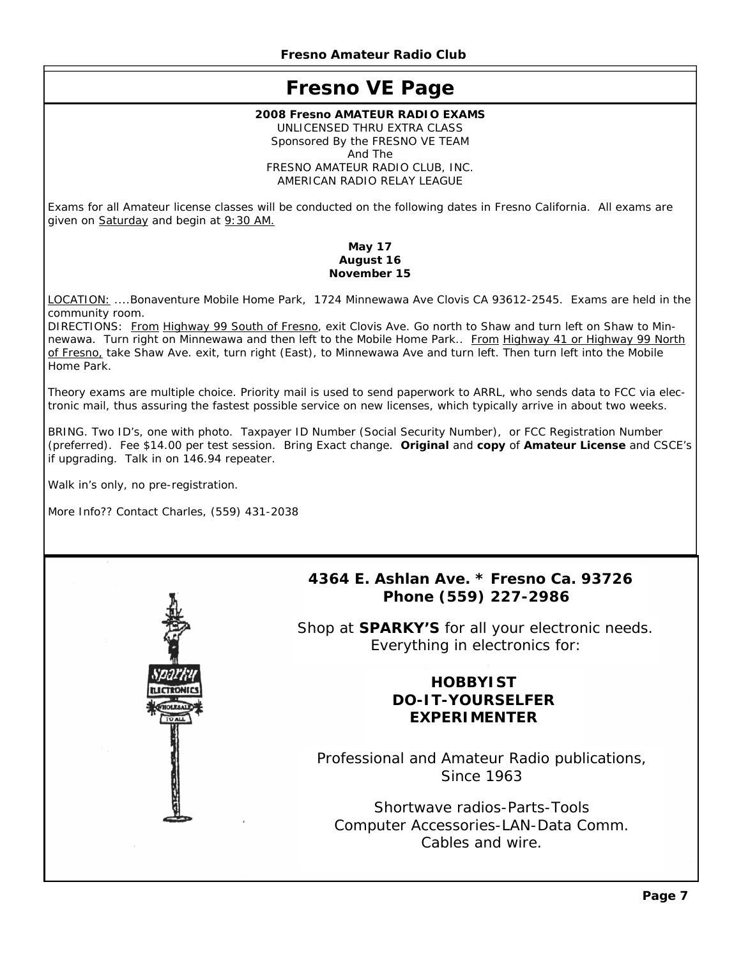# **Fresno VE Page**

#### **2008 Fresno AMATEUR RADIO EXAMS**

UNLICENSED THRU EXTRA CLASS Sponsored By the FRESNO VE TEAM And The FRESNO AMATEUR RADIO CLUB, INC. AMERICAN RADIO RELAY LEAGUE

Exams for all Amateur license classes will be conducted on the following dates in Fresno California. All exams are given on Saturday and begin at 9:30 AM.

#### **May 17 August 16 November 15**

LOCATION: ....Bonaventure Mobile Home Park, 1724 Minnewawa Ave Clovis CA 93612-2545. Exams are held in the community room.

DIRECTIONS: From Highway 99 South of Fresno, exit Clovis Ave. Go north to Shaw and turn left on Shaw to Minnewawa. Turn right on Minnewawa and then left to the Mobile Home Park.. From Highway 41 or Highway 99 North of Fresno, take Shaw Ave. exit, turn right (East), to Minnewawa Ave and turn left. Then turn left into the Mobile Home Park.

Theory exams are multiple choice. Priority mail is used to send paperwork to ARRL, who sends data to FCC via electronic mail, thus assuring the fastest possible service on new licenses, which typically arrive in about two weeks.

BRING. Two ID's, one with photo. Taxpayer ID Number (Social Security Number), or FCC Registration Number (preferred). Fee \$14.00 per test session. Bring Exact change. **Original** and **copy** of **Amateur License** and CSCE's if upgrading. Talk in on 146.94 repeater.

Walk in's only, no pre-registration.

More Info?? Contact Charles, (559) 431-2038



## **4364 E. Ashlan Ave. \* Fresno Ca. 93726 Phone (559) 227-2986**

Shop at **SPARKY'S** for all your electronic needs. Everything in electronics for:

# **HOBBYIST DO-IT-YOURSELFER EXPERIMENTER**

Professional and Amateur Radio publications, Since 1963

Shortwave radios-Parts-Tools Computer Accessories-LAN-Data Comm. Cables and wire.